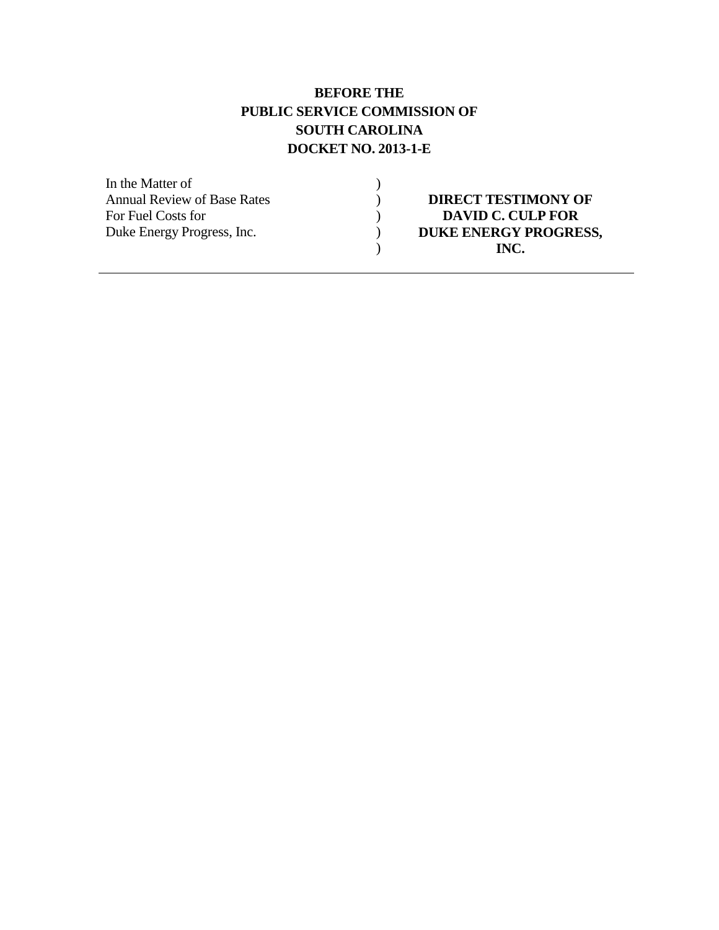### **BEFORE THE PUBLIC SERVICE COMMISSION OF SOUTH CAROLINA DOCKET NO. 2013-1-E**

| <b>DIRECT TESTIMONY OF</b>   |
|------------------------------|
| <b>DAVID C. CULP FOR</b>     |
| <b>DUKE ENERGY PROGRESS,</b> |
| INC.                         |
|                              |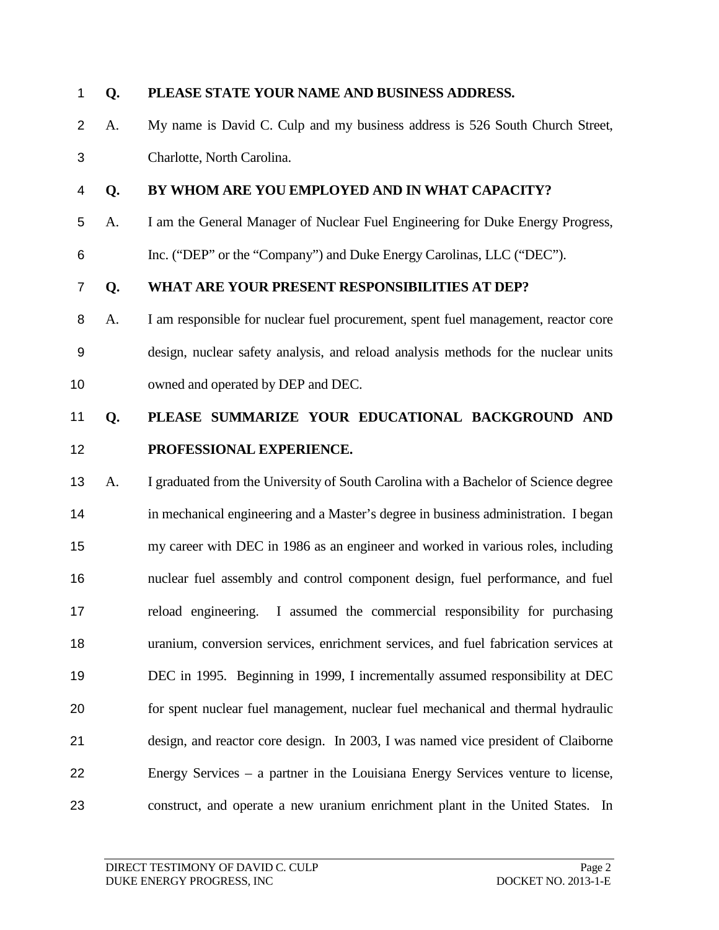#### **Q. PLEASE STATE YOUR NAME AND BUSINESS ADDRESS.**

- A. My name is David C. Culp and my business address is 526 South Church Street,
- Charlotte, North Carolina.

#### **Q. BY WHOM ARE YOU EMPLOYED AND IN WHAT CAPACITY?**

- A. I am the General Manager of Nuclear Fuel Engineering for Duke Energy Progress,
- Inc. ("DEP" or the "Company") and Duke Energy Carolinas, LLC ("DEC").

#### **Q. WHAT ARE YOUR PRESENT RESPONSIBILITIES AT DEP?**

 A. I am responsible for nuclear fuel procurement, spent fuel management, reactor core design, nuclear safety analysis, and reload analysis methods for the nuclear units 10 owned and operated by DEP and DEC.

## **Q. PLEASE SUMMARIZE YOUR EDUCATIONAL BACKGROUND AND PROFESSIONAL EXPERIENCE.**

 A. I graduated from the University of South Carolina with a Bachelor of Science degree in mechanical engineering and a Master's degree in business administration. I began my career with DEC in 1986 as an engineer and worked in various roles, including nuclear fuel assembly and control component design, fuel performance, and fuel reload engineering. I assumed the commercial responsibility for purchasing uranium, conversion services, enrichment services, and fuel fabrication services at DEC in 1995. Beginning in 1999, I incrementally assumed responsibility at DEC for spent nuclear fuel management, nuclear fuel mechanical and thermal hydraulic design, and reactor core design. In 2003, I was named vice president of Claiborne Energy Services – a partner in the Louisiana Energy Services venture to license, construct, and operate a new uranium enrichment plant in the United States. In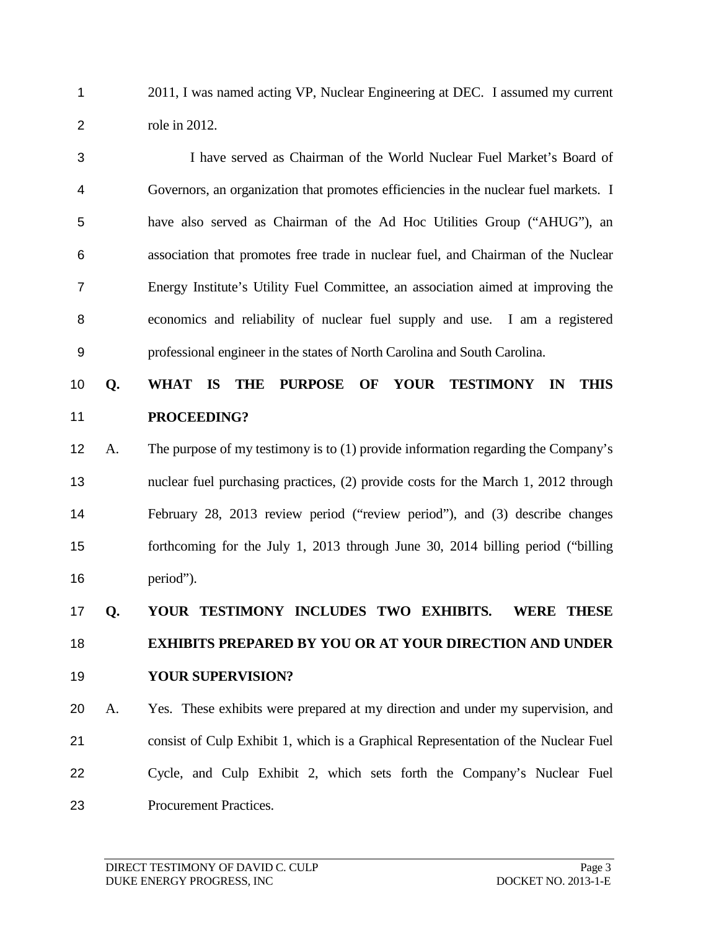2011, I was named acting VP, Nuclear Engineering at DEC. I assumed my current role in 2012.

 I have served as Chairman of the World Nuclear Fuel Market's Board of Governors, an organization that promotes efficiencies in the nuclear fuel markets. I have also served as Chairman of the Ad Hoc Utilities Group ("AHUG"), an association that promotes free trade in nuclear fuel, and Chairman of the Nuclear Energy Institute's Utility Fuel Committee, an association aimed at improving the economics and reliability of nuclear fuel supply and use. I am a registered professional engineer in the states of North Carolina and South Carolina.

## **Q. WHAT IS THE PURPOSE OF YOUR TESTIMONY IN THIS PROCEEDING?**

 A. The purpose of my testimony is to (1) provide information regarding the Company's nuclear fuel purchasing practices, (2) provide costs for the March 1, 2012 through February 28, 2013 review period ("review period"), and (3) describe changes forthcoming for the July 1, 2013 through June 30, 2014 billing period ("billing period").

# **Q. YOUR TESTIMONY INCLUDES TWO EXHIBITS. WERE THESE EXHIBITS PREPARED BY YOU OR AT YOUR DIRECTION AND UNDER YOUR SUPERVISION?**

 A. Yes. These exhibits were prepared at my direction and under my supervision, and consist of Culp Exhibit 1, which is a Graphical Representation of the Nuclear Fuel Cycle, and Culp Exhibit 2, which sets forth the Company's Nuclear Fuel Procurement Practices.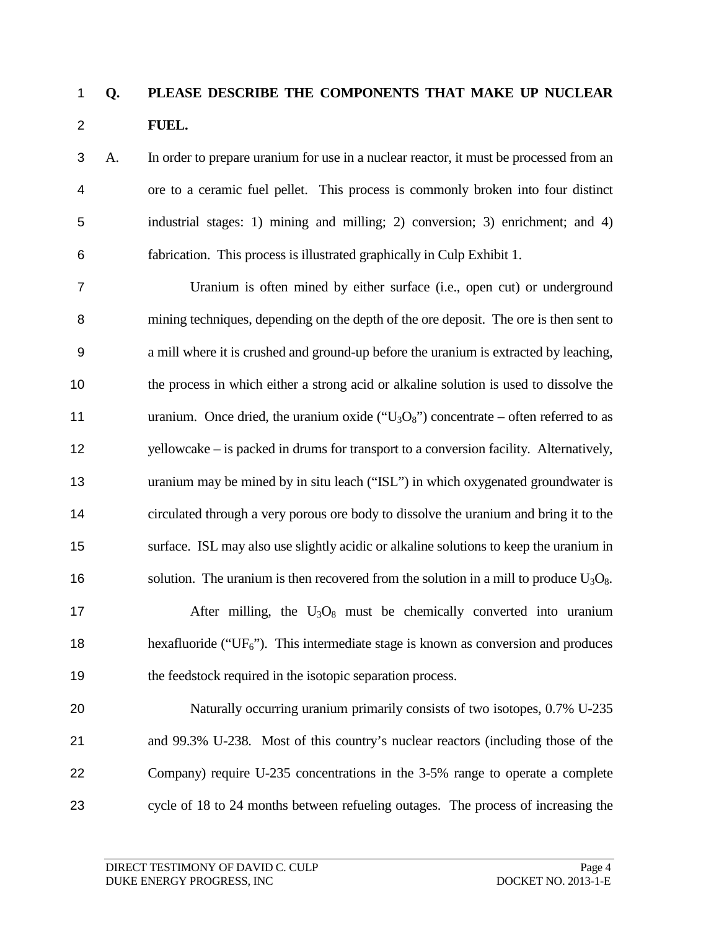## **Q. PLEASE DESCRIBE THE COMPONENTS THAT MAKE UP NUCLEAR FUEL.**

 A. In order to prepare uranium for use in a nuclear reactor, it must be processed from an ore to a ceramic fuel pellet. This process is commonly broken into four distinct industrial stages: 1) mining and milling; 2) conversion; 3) enrichment; and 4) fabrication. This process is illustrated graphically in Culp Exhibit 1.

 Uranium is often mined by either surface (i.e., open cut) or underground mining techniques, depending on the depth of the ore deposit. The ore is then sent to a mill where it is crushed and ground-up before the uranium is extracted by leaching, the process in which either a strong acid or alkaline solution is used to dissolve the 11 uranium. Once dried, the uranium oxide (" $U_3O_8$ ") concentrate – often referred to as yellowcake – is packed in drums for transport to a conversion facility. Alternatively, uranium may be mined by in situ leach ("ISL") in which oxygenated groundwater is circulated through a very porous ore body to dissolve the uranium and bring it to the surface. ISL may also use slightly acidic or alkaline solutions to keep the uranium in 16 solution. The uranium is then recovered from the solution in a mill to produce  $U_3O_8$ . 17 After milling, the  $U_3O_8$  must be chemically converted into uranium 18 hexafluoride (" $UF<sub>6</sub>$ "). This intermediate stage is known as conversion and produces 19 the feedstock required in the isotopic separation process. Naturally occurring uranium primarily consists of two isotopes, 0.7% U-235 and 99.3% U-238. Most of this country's nuclear reactors (including those of the Company) require U-235 concentrations in the 3-5% range to operate a complete

cycle of 18 to 24 months between refueling outages. The process of increasing the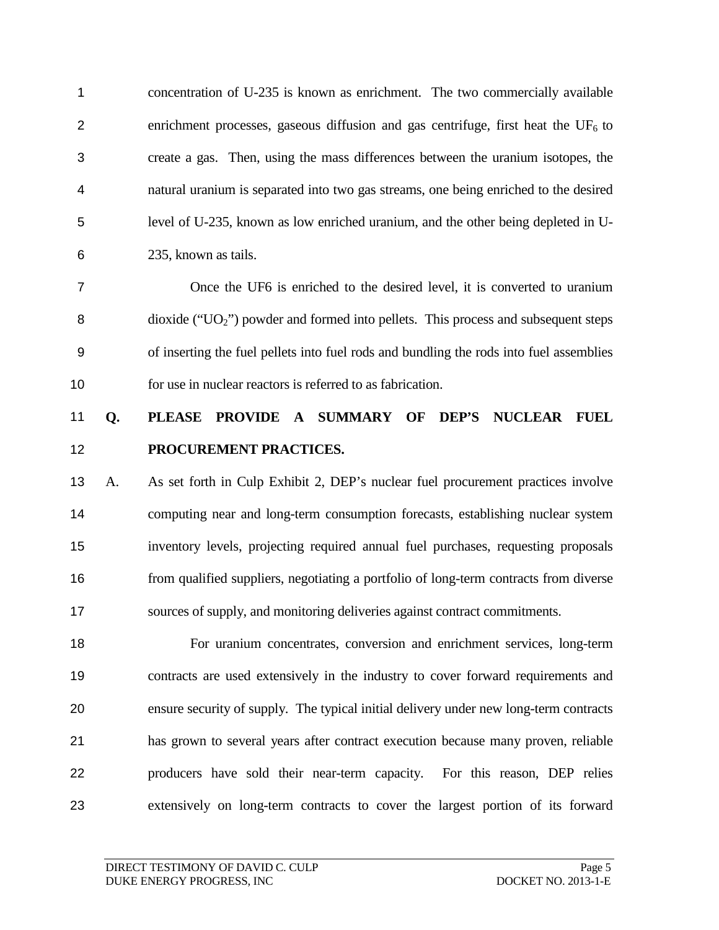concentration of U-235 is known as enrichment. The two commercially available 2 enrichment processes, gaseous diffusion and gas centrifuge, first heat the  $UF_6$  to create a gas. Then, using the mass differences between the uranium isotopes, the natural uranium is separated into two gas streams, one being enriched to the desired level of U-235, known as low enriched uranium, and the other being depleted in U-235, known as tails.

 Once the UF6 is enriched to the desired level, it is converted to uranium dioxide ("UO2") powder and formed into pellets. This process and subsequent steps of inserting the fuel pellets into fuel rods and bundling the rods into fuel assemblies for use in nuclear reactors is referred to as fabrication.

## **Q. PLEASE PROVIDE A SUMMARY OF DEP'S NUCLEAR FUEL PROCUREMENT PRACTICES.**

 A. As set forth in Culp Exhibit 2, DEP's nuclear fuel procurement practices involve computing near and long-term consumption forecasts, establishing nuclear system inventory levels, projecting required annual fuel purchases, requesting proposals from qualified suppliers, negotiating a portfolio of long-term contracts from diverse sources of supply, and monitoring deliveries against contract commitments.

 For uranium concentrates, conversion and enrichment services, long-term contracts are used extensively in the industry to cover forward requirements and ensure security of supply. The typical initial delivery under new long-term contracts has grown to several years after contract execution because many proven, reliable producers have sold their near-term capacity. For this reason, DEP relies extensively on long-term contracts to cover the largest portion of its forward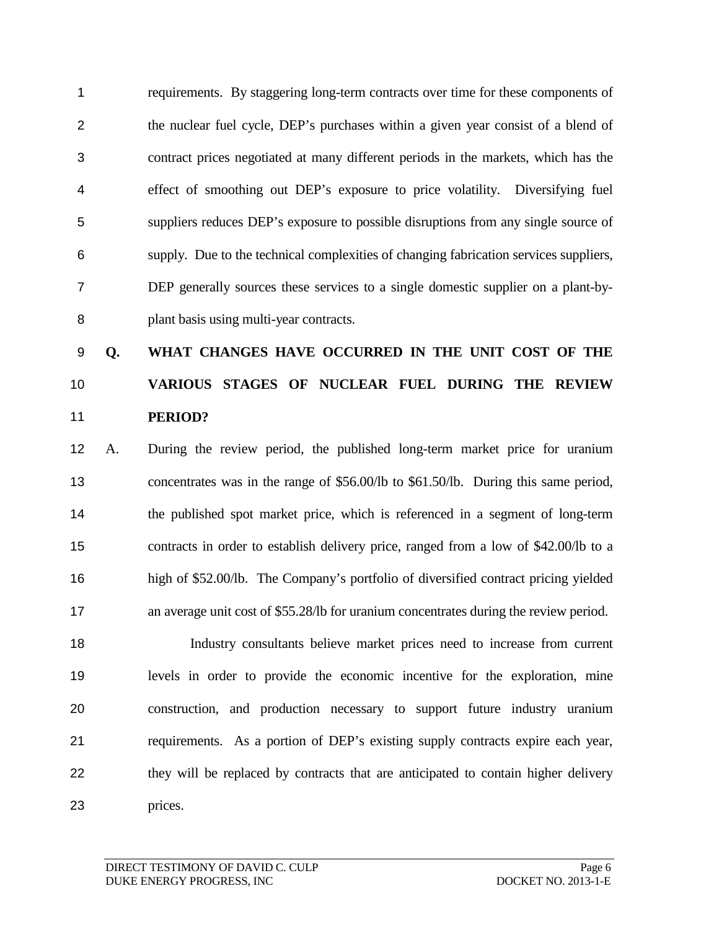requirements. By staggering long-term contracts over time for these components of the nuclear fuel cycle, DEP's purchases within a given year consist of a blend of contract prices negotiated at many different periods in the markets, which has the effect of smoothing out DEP's exposure to price volatility. Diversifying fuel suppliers reduces DEP's exposure to possible disruptions from any single source of supply. Due to the technical complexities of changing fabrication services suppliers, DEP generally sources these services to a single domestic supplier on a plant-by-plant basis using multi-year contracts.

# **Q. WHAT CHANGES HAVE OCCURRED IN THE UNIT COST OF THE VARIOUS STAGES OF NUCLEAR FUEL DURING THE REVIEW PERIOD?**

 A. During the review period, the published long-term market price for uranium concentrates was in the range of \$56.00/lb to \$61.50/lb. During this same period, the published spot market price, which is referenced in a segment of long-term contracts in order to establish delivery price, ranged from a low of \$42.00/lb to a high of \$52.00/lb. The Company's portfolio of diversified contract pricing yielded 17 an average unit cost of \$55.28/lb for uranium concentrates during the review period.

 Industry consultants believe market prices need to increase from current levels in order to provide the economic incentive for the exploration, mine construction, and production necessary to support future industry uranium requirements. As a portion of DEP's existing supply contracts expire each year, they will be replaced by contracts that are anticipated to contain higher delivery prices.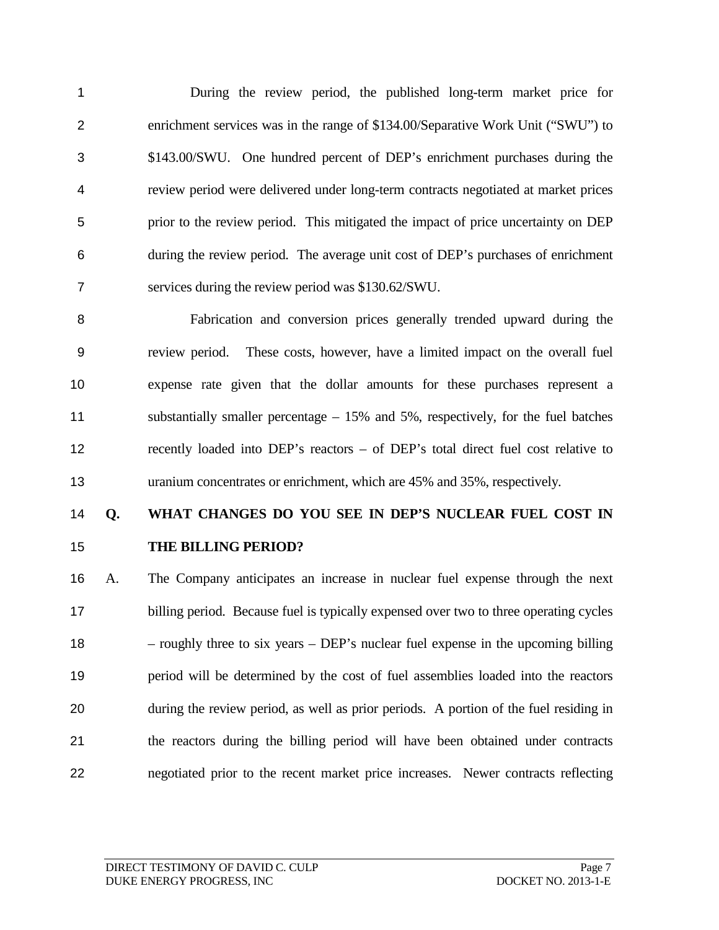During the review period, the published long-term market price for enrichment services was in the range of \$134.00/Separative Work Unit ("SWU") to \$143.00/SWU. One hundred percent of DEP's enrichment purchases during the review period were delivered under long-term contracts negotiated at market prices prior to the review period. This mitigated the impact of price uncertainty on DEP during the review period. The average unit cost of DEP's purchases of enrichment services during the review period was \$130.62/SWU.

 Fabrication and conversion prices generally trended upward during the review period. These costs, however, have a limited impact on the overall fuel expense rate given that the dollar amounts for these purchases represent a substantially smaller percentage – 15% and 5%, respectively, for the fuel batches recently loaded into DEP's reactors – of DEP's total direct fuel cost relative to uranium concentrates or enrichment, which are 45% and 35%, respectively.

## **Q. WHAT CHANGES DO YOU SEE IN DEP'S NUCLEAR FUEL COST IN THE BILLING PERIOD?**

 A. The Company anticipates an increase in nuclear fuel expense through the next billing period. Because fuel is typically expensed over two to three operating cycles – roughly three to six years – DEP's nuclear fuel expense in the upcoming billing period will be determined by the cost of fuel assemblies loaded into the reactors during the review period, as well as prior periods. A portion of the fuel residing in the reactors during the billing period will have been obtained under contracts negotiated prior to the recent market price increases. Newer contracts reflecting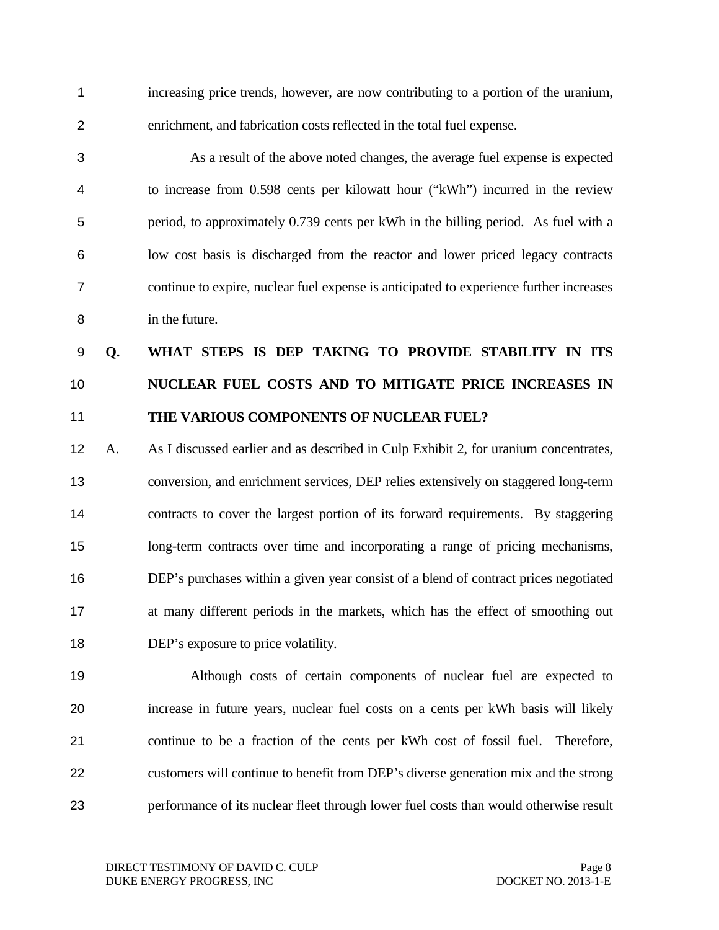increasing price trends, however, are now contributing to a portion of the uranium, enrichment, and fabrication costs reflected in the total fuel expense.

 As a result of the above noted changes, the average fuel expense is expected to increase from 0.598 cents per kilowatt hour ("kWh") incurred in the review period, to approximately 0.739 cents per kWh in the billing period. As fuel with a low cost basis is discharged from the reactor and lower priced legacy contracts continue to expire, nuclear fuel expense is anticipated to experience further increases in the future.

# **Q. WHAT STEPS IS DEP TAKING TO PROVIDE STABILITY IN ITS NUCLEAR FUEL COSTS AND TO MITIGATE PRICE INCREASES IN THE VARIOUS COMPONENTS OF NUCLEAR FUEL?**

 A. As I discussed earlier and as described in Culp Exhibit 2, for uranium concentrates, conversion, and enrichment services, DEP relies extensively on staggered long-term contracts to cover the largest portion of its forward requirements. By staggering long-term contracts over time and incorporating a range of pricing mechanisms, DEP's purchases within a given year consist of a blend of contract prices negotiated at many different periods in the markets, which has the effect of smoothing out DEP's exposure to price volatility.

 Although costs of certain components of nuclear fuel are expected to increase in future years, nuclear fuel costs on a cents per kWh basis will likely continue to be a fraction of the cents per kWh cost of fossil fuel. Therefore, customers will continue to benefit from DEP's diverse generation mix and the strong performance of its nuclear fleet through lower fuel costs than would otherwise result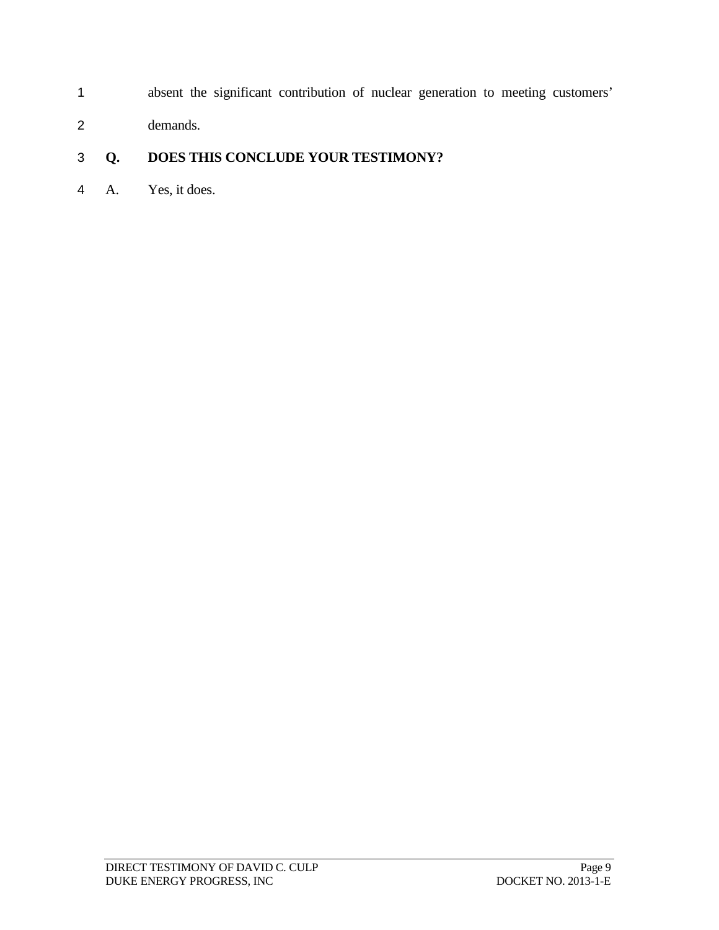- absent the significant contribution of nuclear generation to meeting customers'
- demands.

### **Q. DOES THIS CONCLUDE YOUR TESTIMONY?**

A. Yes, it does.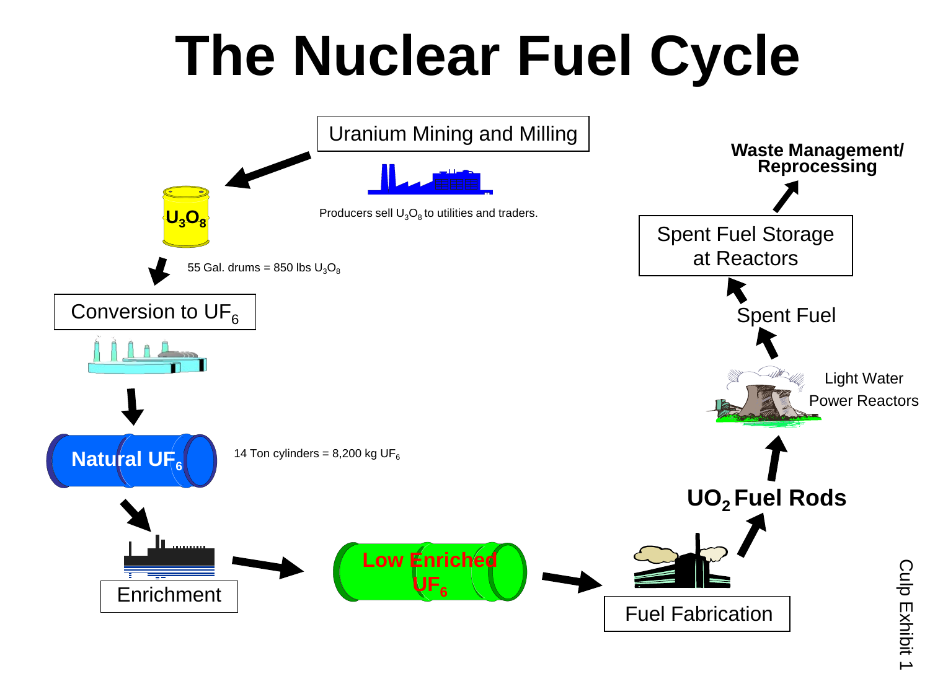# **The Nuclear Fuel Cycle**



Culp Exhibit 1 Culp Exhibit 1